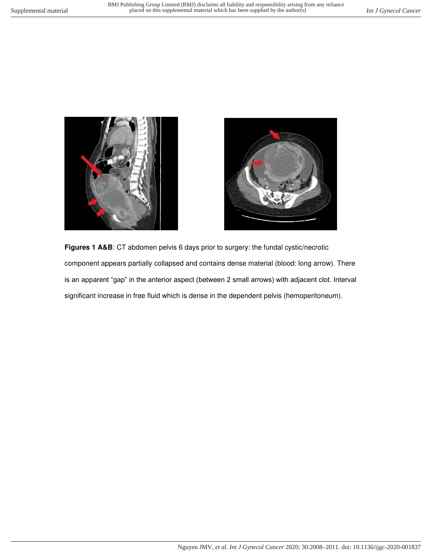



**Figures 1 A&B**: CT abdomen pelvis 6 days prior to surgery: the fundal cystic/necrotic component appears partially collapsed and contains dense material (blood: long arrow). There is an apparent "gap" in the anterior aspect (between 2 small arrows) with adjacent clot. Interval significant increase in free fluid which is dense in the dependent pelvis (hemoperitoneum).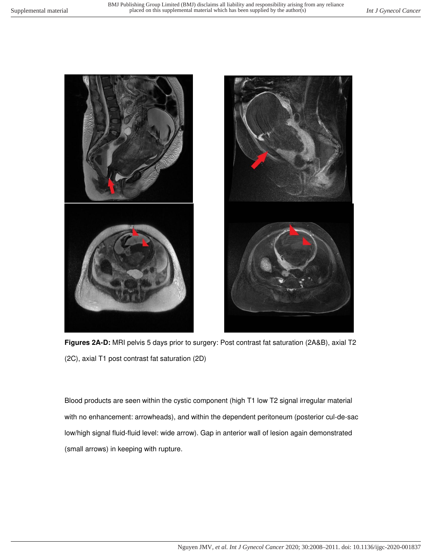

**Figures 2A-D:** MRI pelvis 5 days prior to surgery: Post contrast fat saturation (2A&B), axial T2 (2C), axial T1 post contrast fat saturation (2D)

Blood products are seen within the cystic component (high T1 low T2 signal irregular material with no enhancement: arrowheads), and within the dependent peritoneum (posterior cul-de-sac low/high signal fluid-fluid level: wide arrow). Gap in anterior wall of lesion again demonstrated (small arrows) in keeping with rupture.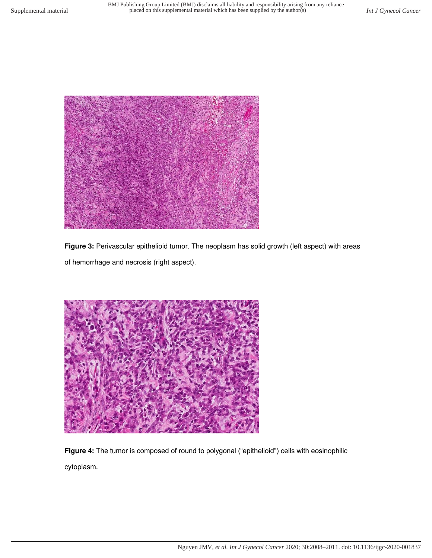

Figure 3: Perivascular epithelioid tumor. The neoplasm has solid growth (left aspect) with areas of hemorrhage and necrosis (right aspect).



**Figure 4:** The tumor is composed of round to polygonal ("epithelioid") cells with eosinophilic cytoplasm.